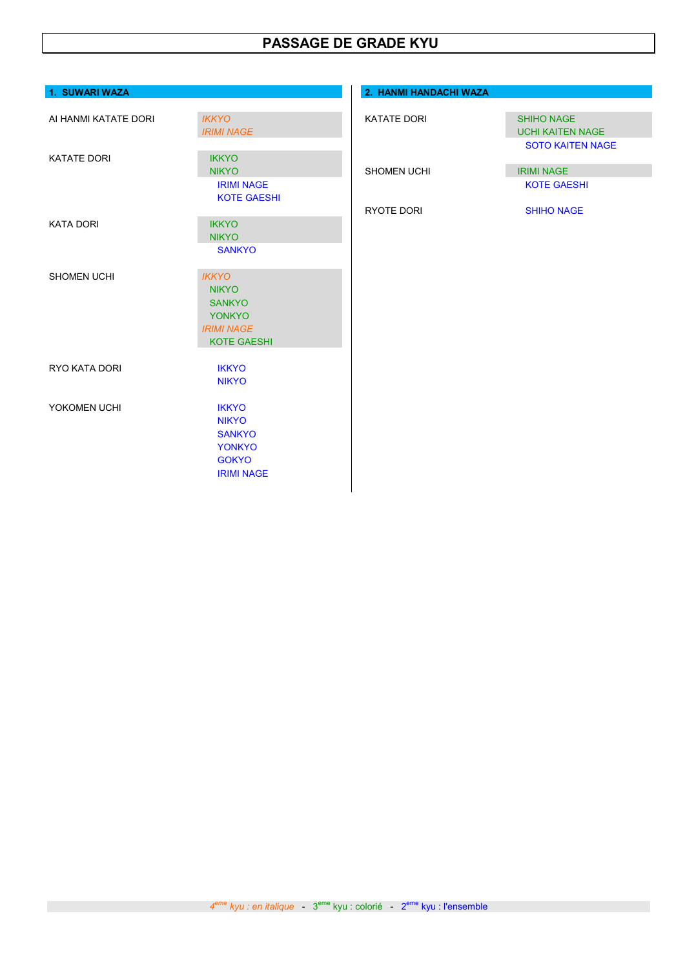## PASSAGE DE GRADE KYU

| 1. SUWARI WAZA       |                                                                                                           | 2. HANMI HANDACHI WAZA |                                                                    |
|----------------------|-----------------------------------------------------------------------------------------------------------|------------------------|--------------------------------------------------------------------|
| AI HANMI KATATE DORI | <b>IKKYO</b><br><b>IRIMI NAGE</b>                                                                         | KATATE DORI            | <b>SHIHO NAGE</b><br><b>UCHI KAITEN NAGE</b>                       |
| <b>KATATE DORI</b>   | <b>IKKYO</b><br><b>NIKYO</b><br><b>IRIMI NAGE</b><br><b>KOTE GAESHI</b>                                   | <b>SHOMEN UCHI</b>     | <b>SOTO KAITEN NAGE</b><br><b>IRIMI NAGE</b><br><b>KOTE GAESHI</b> |
| <b>KATA DORI</b>     | <b>IKKYO</b><br><b>NIKYO</b><br><b>SANKYO</b>                                                             | RYOTE DORI             | <b>SHIHO NAGE</b>                                                  |
| <b>SHOMEN UCHI</b>   | <b>IKKYO</b><br><b>NIKYO</b><br><b>SANKYO</b><br><b>YONKYO</b><br><b>IRIMI NAGE</b><br><b>KOTE GAESHI</b> |                        |                                                                    |
| RYO KATA DORI        | <b>IKKYO</b><br><b>NIKYO</b>                                                                              |                        |                                                                    |
| YOKOMEN UCHI         | <b>IKKYO</b><br><b>NIKYO</b><br><b>SANKYO</b><br><b>YONKYO</b><br><b>GOKYO</b><br><b>IRIMI NAGE</b>       |                        |                                                                    |